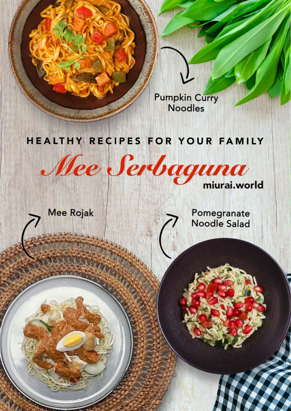

### HEALTHY RECIPES FOR YOUR FAMILY

Mee Serbaguna

**Mee Rojak** 

Pomegranate **Noodle Salad**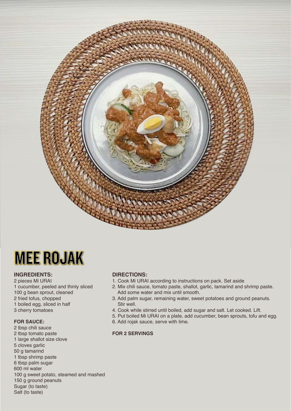



#### **INGREDIENTS:**

2 pieces Mi URAI 1 cucumber, peeled and thinly sliced 100 g bean sprout, cleaned 2 fried tofus, chopped 1 boiled egg, sliced in half 3 cherry tomatoes

#### **FOR SAUCE:**

2 tbsp chili sauce 2 tbsp tomato paste 1 large shallot size clove 5 cloves garlic 50 g tamarind 1 tbsp shrimp paste 6 tbsp palm sugar 600 ml water 100 g sweet potato, steamed and mashed 150 g ground peanuts Sugar (to taste) Salt (to taste)

#### **DIRECTIONS:**

- 1. Cook Mi URAI according to instructions on pack. Set aside
- 2. Mix chili sauce, tomato paste, shallot, garlic, tamarind and shrimp paste. Add some water and mix until smooth.
- 3. Add palm sugar, remaining water, sweet potatoes and ground peanuts. Stir well.
- 4. Cook while stirred until boiled, add sugar and salt. Let cooked. Lift.
- 5. Put boiled Mi URAI on a plate, add cucumber, bean sprouts, tofu and egg.
- 6. Add rojak sauce, serve with lime.

#### **FOR 2 SERVINGS**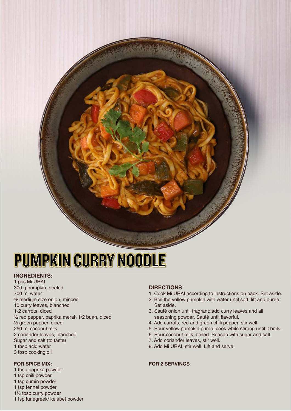## PUMPKIN CURRY NOODLE

#### **INGREDIENTS:**

1 pcs Mi URAI 300 g pumpkin, peeled 700 ml water ½ medium size onion, minced 10 curry leaves, blanched 1-2 carrots, diced ½ red pepper, paprika merah 1/2 buah, diced ½ green pepper, diced 250 ml coconut milk 2 coriander leaves, blanched Sugar and salt (to taste) 1 tbsp acid water 3 tbsp cooking oil

#### **FOR SPICE MIX:**

- 1 tbsp paprika powder 1 tsp chili powder 1 tsp cumin powder 1 tsp fennel powder
- 1½ tbsp curry powder
- 1 tsp funegreek/ kelabet powder

#### **DIRECTIONS:**

- 1. Cook Mi URAI according to instructions on pack. Set aside.
- 2. Boil the yellow pumpkin with water until soft, lift and puree. Set aside.
- 3. Sauté onion until fragrant; add curry leaves and all seasoning powder. Sauté until flavorful.
- 4. Add carrots, red and green chili pepper, stir well.
- 5. Pour yellow pumpkin puree; cook while stirring until it boils.
- 6. Pour coconut milk, boiled. Season with sugar and salt.
- 7. Add coriander leaves, stir well.
- 8. Add Mi URAI, stir well. Lift and serve.

#### **FOR 2 SERVINGS**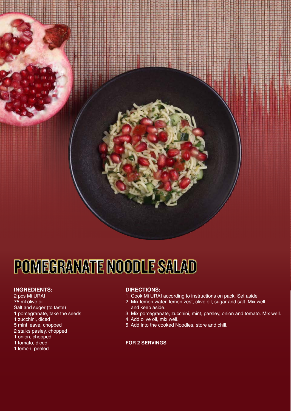

# POMEGRANATE NOODLE SALAD

#### **INGREDIENTS:**

- 2 pcs Mi URAI 75 ml olive oil Salt and suger (to taste) 1 pomegranate, take the seeds 1 zucchini, diced
- 5 mint leave, chopped
- 2 stalks pasley, chopped
- 1 onion, chopped
- 1 tomato, diced
- 1 lemon, peeled

#### **DIRECTIONS:**

- 1. Cook Mi URAI according to instructions on pack. Set aside
- 2. Mix lemon water, lemon zest, olive oil, sugar and salt. Mix well and keep aside.
- 3. Mix pomegranate, zucchini, mint, parsley, onion and tomato. Mix well.
- 4. Add olive oil, mix well.
- 5. Add into the cooked Noodles, store and chill.

#### **FOR 2 SERVINGS**